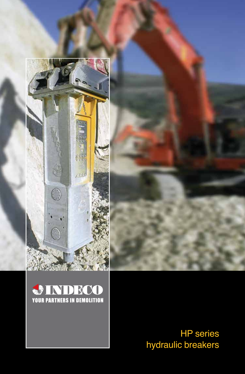



HP series hydraulic breakers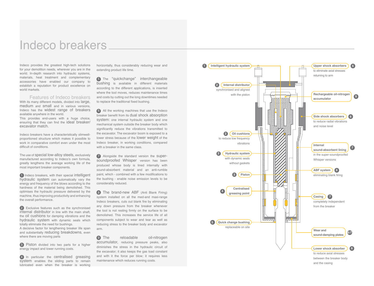### Indeco breakers

Indeco provides the greatest high-tech solutions for your demolition needs, wherever you are in the world. In-depth research into hydraulic systems, materials, heat treatment and complementary accessories have enabled our company to establish a reputation for product excellence on world markets.

#### Features of Indeco breakers

With its many different models, divided into large, medium and small and in various versions. Indeco has the widest range of breakers available anywhere in the world.

This provides end-users with a huge choice, ensuring that they can find the ideal breaker/ excavator match.

Indeco breakers have a characteristically slimwellproportioned structure which makes it possible to work in comparative comfort even under the most difficult of conditions.

The use of special low-alloy steels, exclusively manufactured according to Indeco's own formula, greatly lengthens the average working life of the most important breaker components.

 $\bigcap$  Indeco breakers, with their special intelligent hydraulic system can automatically vary the energy and frequency of the blows according to the hardness of the material being demolished. This optimises the hydraulic pressure delivered by the machine, thus improving productivity and enhancing the overall performance.

2 Exclusive features such as the synchronised internal distributor in line with the main shaft, the oil cushions for damping vibrations and the hydraulic system with dynamic seals which totally eliminate the need for bushings.

A decisive factor for lengthening breaker life span and substantially reducing breakdowns, even where there are moving parts

3 Piston divided into two parts for a higher energy impact and lower running costs.

4 In particular the centralised greasing system enables the sliding parts to remain lubricated even when the breaker is working horizontally, thus considerably reducing wear and extending product life time.

**5** The "quickchange" interchangeable bushing is available in different materials according to the different applications, is inserted where the tool moves, reduces maintenance times and costs by cutting out the long downtimes needed to replace the traditional fixed bushing.

6 All the working machines that use the Indeco breaker benefit from its dual shock absorption system: one internal hydraulic system and one mechanical system outside the breaker body which significantly reduce the vibrations transmitted to the excavator. The excavator boom is exposed to a lower stress because of the lower weight of the Indeco breaker, in working conditions, compared with a breaker in the same class.

7 Alongside the standard version the supersoundproofed Whisper version has been produced whose body is lined internally with sound-absorbent material and an anti-rumble paint, which - combined with a few modifications to the bushing - enable noise emission levels to be considerably reduced.

8 The brand-new ABF (Anti Blank Firing) system installed on all the med-and maxi-range Indeco breakers, cuts out blank fire by eliminating any down pressure from the breaker whenever the tool is not resting firmly on the surface to be demolished. This increases the service life of all components subject to wear and tear as well as reducing stress to the breaker body and excavator arm.

9 The reloadable oil-nitrogen accumulator, reducing pressure peaks, also diminishes the stress in the hydraulic circuit of the excavator; it also keeps the gas load constant and with it the force per blow; it requires less maintenance which reduces running costs.

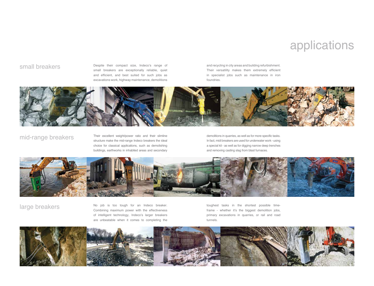## applications

Small breakers **Despite their compact size**, Indeco's range of Small breakers are exceptionally reliable, quiet and efficient, and best suited for such jobs as excavations work, highway maintenance, demolitions and recycling in city areas and building refurbishment. Their versatility makes them extremely efficient in specialist jobs such as maintenance in iron foundries.

![](_page_2_Picture_4.jpeg)

mid-range breakers Their excellent weight/power ratio and their slimline structure make the mid-range Indeco breakers the ideal choice for classical applications, such as demolishing buildings, earthworks in inhabited areas and secondary

demolitions in quarries, as well as for more specific tasks. In fact, midi breakers are used for underwater work - using a special kit - as well as for digging narrow deep trenches and removing casting slag from blast furnaces.

![](_page_2_Picture_8.jpeg)

large breakers No job is too tough for an Indeco breaker. Combining maximum power with the effectiveness of intelligent technology, Indeco's larger breakers are unbeatable when it comes to completing the

toughest tasks in the shortest possible timeframe - whether it's the biggest demolition jobs, primary excavations in quarries, or rail and road tunnels.

![](_page_2_Picture_12.jpeg)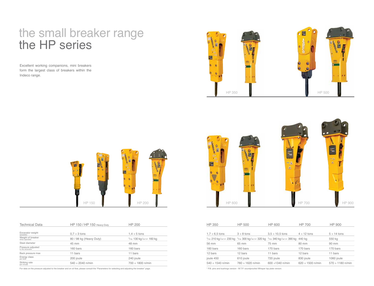## the small breaker range the HP series

Excellent working companions, mini breakers form the largest class of breakers within the Indeco range.

![](_page_3_Picture_2.jpeg)

![](_page_3_Figure_3.jpeg)

| <b>Technical Data</b>                 | HP 150 / HP 150 Heavy Duty | <b>HP 200</b>              | HP 350                      | <b>HP 500</b>         | <b>HP 600</b>                                                                           | <b>HP 700</b>         | <b>HP 900</b>  |
|---------------------------------------|----------------------------|----------------------------|-----------------------------|-----------------------|-----------------------------------------------------------------------------------------|-----------------------|----------------|
| Excavator weight<br>(possible)        | $0.7 \div 3$ tons          | $1.4 \div 5$ tons          | $1,7 \div 6,5 \text{ tons}$ | $3 \div 8$ tons       | $3.5 \div 10.5$ tons                                                                    | $4 \div 12$ tons      | $5 \div 14$ to |
| Weight of breaker<br>when operated    | 80 / 98 kg (Heavy Duty)    | *P.B. 130 kg/w.t.p. 160 kg |                             |                       | *P.B. 210 kg/w.t.p. 230 kg *P.B. 300 kg/w.t.p. 320 kg *P.B. 340 kg/w.t.p. 390 kg 440 kg |                       | 550 kg         |
| Steel diameter                        | 45 mm                      | 48 mm                      | 56 mm                       | 65 mm                 | 75 mm                                                                                   | 80 mm                 | 90 mm          |
| Pressure adjusted<br>to the excavator | 160 bars                   | 160 bars                   | 160 bars                    | 160 bars              | 170 bars                                                                                | 170 bars              | 170 bars       |
| Back pressure max                     | 11 bars                    | 11 bars                    | 12 bars                     | 12 bars               | 11 bars                                                                                 | 12 bars               | 11 bars        |
| Energy class<br>per blow              | 200 joule                  | 240 joule                  | joule 450                   | 610 joule             | 720 joule                                                                               | 830 joule             | 1060 joul      |
| Striking rate<br>per minute           | $540 \div 2040$ n/min      | $700 \div 1800$ n/min      | $540 \div 1540$ n/min       | $780 \div 1620$ n/min | $600 \div 1340$ n/min                                                                   | $620 \div 1500$ n/min | $570 \div 11$  |

For data on the pressure adjusted to the breaker and on oil flow, please consult the "Parameters for selecting and adjusting the breaker" page. \* P.B. pins and bushings version - W.T.P. soundproofed Whisper top plate version.

![](_page_3_Figure_6.jpeg)

| HP 350                | HP 500                                                | HP 600                     | HP 700                | HP 900                |
|-----------------------|-------------------------------------------------------|----------------------------|-----------------------|-----------------------|
|                       |                                                       |                            |                       |                       |
| $1,7 \div 6,5$ tons   | $3 \div 8$ tons                                       | $3.5 \div 10.5$ tons       | $4 \div 12$ tons      | $5 \div 14$ tons      |
|                       | *P.B. 210 kg/w.t.p. 230 kg *P.B. 300 kg/w.t.p. 320 kg | *P.B. 340 kg/w.t.p. 390 kg | 440 kg                | 550 kg                |
| 56 mm                 | 65 mm                                                 | 75 mm                      | 80 mm                 | 90 mm                 |
| 160 bars              | 160 bars                                              | 170 bars                   | 170 bars              | 170 bars              |
| 12 bars               | 12 bars                                               | 11 bars                    | 12 bars               | 11 bars               |
| joule 450             | 610 joule                                             | 720 joule                  | 830 joule             | 1060 joule            |
| $540 \div 1540$ n/min | $780 \div 1620$ n/min                                 | 600 $\div$ 1340 n/min      | $620 \div 1500$ n/min | $570 \div 1180$ n/min |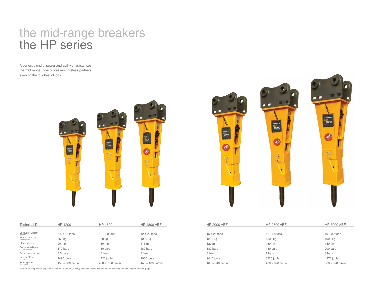# the mid-range breakers the HP series

A perfect blend of power and agility characterises the mid range Indeco breakers, tireless partners even on the toughest of jobs.

![](_page_4_Picture_2.jpeg)

| <b>Technical Data</b>                 | HP 1200              | HP 1500               | <b>HP 1800 ABF</b>    |
|---------------------------------------|----------------------|-----------------------|-----------------------|
|                                       |                      |                       |                       |
| Excavator weight<br>(possible)        | $6.5 \div 16$ tons   | $10 \div 20$ tons     | $12 \div 22$ tons     |
| Weight of breaker<br>when operated    | 650 kg               | 850 kg                | 1000 kg               |
| Steel diameter                        | 90 mm                | 110 mm                | $115$ mm              |
| Pressure adjusted<br>to the excavator | 170 bars             | 180 bars              | 180 bars              |
| Back pressure max                     | 8,5 bars             | 10 bars               | 8 bars                |
| Energy class<br>per blow              | 1490 joule           | 1720 joule            | 2000 joule            |
| Striking rate<br>per minute           | $450 \div 980$ n/min | 420 $\div$ 1000 n/min | $440 \div 1060$ n/min |

For data on the pressure adjusted to the breaker and on oil flow, please consult the "Parameters for selecting and adjusting the breaker" page.

![](_page_4_Picture_5.jpeg)

| HP 1200            | HP 1500               | <b>HP 1800 ABF</b>    | <b>HP 2000 ABF</b>   | <b>HP 2500 ABF</b>   | <b>HP 3000 ABF</b>   |
|--------------------|-----------------------|-----------------------|----------------------|----------------------|----------------------|
|                    |                       |                       |                      |                      |                      |
| $6.5 \div 16$ tons | $10 \div 20$ tons     | $12 \div 22$ tons     | $15 \div 25$ tons    | $16 \div 28$ tons    | $19 \div 32$ tons    |
| 650 kg             | 850 kg                | 1000 kg               | 1200 kg              | 1500 kg              | 1900 kg              |
| 90 mm              | 110 mm                | $115$ mm              | 120 mm               | 130 mm               | 140 mm               |
| 170 bars           | 180 bars              | 180 bars              | 180 bars             | 180 bars             | 200 bars             |
| 8,5 bars           | 10 bars               | 8 bars                | 8 bars               | 7 bars               | 8 bars               |
| 1490 joule         | 1720 joule            | 2000 joule            | 2440 joule           | 3320 joule           | 4370 joule           |
| 450 ÷ 980 n/min    | $420 \div 1000$ n/min | $440 \div 1060$ n/min | $460 \div 940$ n/min | $400 \div 870$ n/min | $360 \div 870$ n/min |
|                    |                       |                       |                      |                      |                      |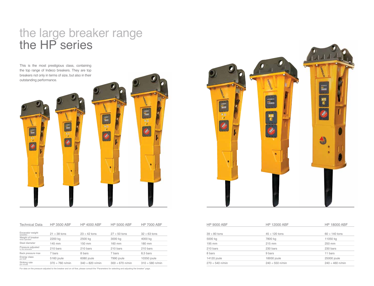## the large breaker range the HP series

This is the most prestigious class, containing the top range of Indeco breakers. They are top breakers not only in terms of size, but also in their outstanding performance.

![](_page_5_Figure_2.jpeg)

| <b>Technical Data</b>                 | <b>HP 3500 ABF</b> | <b>HP 4000 ABF</b>   | <b>HP 5000 ABF</b>   | <b>HP 7000 ABF</b>   | <b>HP 9000 ABF</b>   | <b>HP 12000 ABF</b>  | <b>HP 18000 ABF</b>  |
|---------------------------------------|--------------------|----------------------|----------------------|----------------------|----------------------|----------------------|----------------------|
| Excavator weight<br>(possible)        | $21 \div 38$ tons  | $23 \div 42$ tons    | $27 \div 50$ tons    | $32 \div 63$ tons    | $39 \div 80$ tons    | $45 \div 120$ tons   | $60 \div 140$ tons   |
| Weight of breaker<br>when operated    | 2200 kg            | 2500 kg              | 3000 kg              | 4000 kg              | 5000 kg              | 7800 kg              | 11050 kg             |
| Steel diameter                        | 145 mm             | 150 mm               | 160 mm               | 180 mm               | 195 mm               | 215 mm               | 250 mm               |
| Pressure adjusted<br>to the excavator | 210 bars           | 210 bars             | 210 bars             | 210 bars             | 210 bars             | 230 bars             | 230 bars             |
| Back pressure max                     | 7 bars             | 8 bars               | 7 bars               | 8,5 bars             | 8 bars               | 9 bars               | 11 bars              |
| Energy class<br>per blow              | 5160 joule         | 6080 joule           | 7990 joule           | 10350 joule          | 14120 joule          | 18930 joule          | 25000 joule          |
| Striking rate<br>per minute           | 370 ÷ 760 n/min    | $340 \div 820$ n/min | $300 \div 670$ n/min | $310 \div 580$ n/min | $270 \div 540$ n/min | $240 \div 550$ n/min | $240 \div 460$ n/min |

For data on the pressure adjusted to the breaker and on oil flow, please consult the "Parameters for selecting and adjusting the breaker" page.

![](_page_5_Picture_5.jpeg)

| <b>HP 9000 ABF</b>   | <b>HP 12000 ABF</b>  | <b>HP 18000 ABF</b>  |
|----------------------|----------------------|----------------------|
|                      |                      |                      |
| $39 \div 80$ tons    | $45 \div 120$ tons   | $60 \div 140$ tons   |
| 5000 kg              | 7800 kg              | 11050 kg             |
| 195 mm               | 215 mm               | 250 mm               |
| 210 bars             | 230 bars             | 230 bars             |
| 8 bars               | 9 bars               | 11 bars              |
| 14120 joule          | 18930 joule          | 25000 joule          |
| $270 \div 540$ n/min | $240 \div 550$ n/min | $240 \div 460$ n/min |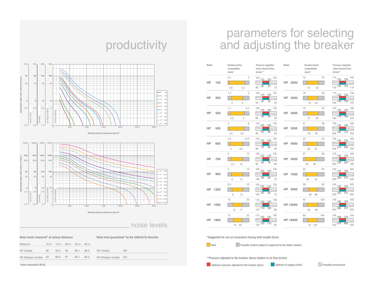# parameters for selecting and adjusting the breaker

| Model     |      | Breaker/carrier<br>compatibility<br>$(tons)*$ |                     | $(I/min)^{**}$                           | Pressure regulation<br>values (bar)/oil flow | Model           | Breaker/carrier<br>compatibility<br>$(tons)*$ | Pressure regulation<br>values (bar)/oil flow<br>$(I/min)^{**}$ |            |
|-----------|------|-----------------------------------------------|---------------------|------------------------------------------|----------------------------------------------|-----------------|-----------------------------------------------|----------------------------------------------------------------|------------|
| <b>HP</b> | 150  | 0,7<br>0,8                                    | 3<br>2,5            | $105$ 115 120<br>30<br>40                | 125<br>$\overline{20}$<br>15                 | 2000<br>HP      | 15<br>22<br>18                                | 25<br>$115$ 125 130<br>125<br>$150\sqrt{135}$                  | 140<br>110 |
| HP        | 200  | 1,4<br>$\overline{2}$                         | 5<br>$\overline{4}$ | $105$ $115$<br>$\overline{35}$<br>45     | 125<br>120<br>$\overline{25}$<br>25          | 2500<br>HP      | 16<br>24<br>19                                | 28<br>$115$ $125$<br>130<br>160 140<br>130                     | 140<br>125 |
| HP        | 350  | 1,7<br>2,5                                    | 6,5<br>5            | 105<br>45<br>60                          | 125<br>115 120<br>35<br>30                   | 3000<br>HP      | 19<br>28<br>21                                | 32<br>$125$ $135$ $140$<br>180 170<br>160                      | 150<br>145 |
| HP        | 500  | 3<br>3,5                                      | 8<br>6,5            | $105$ $120$<br>85<br>90                  | 135<br>125<br>60<br>55                       | 3500<br>HP      | 21<br>30<br>24                                | 38<br>130 135<br>140<br>$200\overline{185}$<br>175             | 160<br>160 |
| HP        | 600  | 3,5<br>$\overline{4}$                         | 10,5<br>8,5         | 105<br>125<br>70<br>80                   | 140<br>135<br>60<br>50                       | HP<br>4000      | 23<br>33<br>26                                | 42<br>130 140 145<br>$\overline{205}$<br>230 215               | 160<br>180 |
| HP        | 700  | 4<br>5,5                                      | 12<br>10            | 105<br>120<br>$\overline{80}$<br>90      | 130<br>125<br>$\overline{70}$<br>60          | 5000<br>HP      | 27<br>30<br>40                                | 50<br>$130$ $140$<br>145<br>$\overline{220}$<br>265 230        | 160<br>190 |
| HP        | 900  | 5<br>6                                        | 14<br>12            | 105<br>120<br>90<br>100                  | 130<br>125<br>80<br>70                       | HP<br>7000      | 32<br>36<br>52                                | 63<br>140 145 150<br>275<br>305 285                            | 165<br>250 |
| HP        | 1200 | 6,5<br>8                                      | 16<br>13            | 105<br>120<br>$\overline{95}$<br>105     | 130<br>125<br>$\overline{85}$<br>70          | 9000<br>НP      | 39<br>68<br>46                                | 80<br>$140$ $150$<br>155<br>$\overline{315}$<br>355 325        | 165<br>290 |
| HP        | 1500 | 10<br>12                                      | 20<br>17            | $115$ $120$ $125$<br>$125\overline{110}$ | 140<br>100<br>80                             | HP 12000        | 45<br>58<br>90                                | 120<br>$140$ 160 165<br>420 380<br>370                         | 180<br>325 |
| HP        | 1800 | 12<br>14                                      | 22<br>20            | $115$ 120 125<br>$130\ 120$              | 140<br>$\overline{110}$<br>85                | <b>HP 18000</b> | 60<br>75 120                                  | 140<br>$140_{160}$<br>170<br>520 470<br>460                    | 180<br>420 |

## productivity

![](_page_6_Figure_3.jpeg)

![](_page_6_Figure_4.jpeg)

### noise levels

| Noise levels measured* at various distances |                 |      |                |      |                 |                       | Noise level quaranteed* by the 2006/42/CE directive |
|---------------------------------------------|-----------------|------|----------------|------|-----------------|-----------------------|-----------------------------------------------------|
| <b>Distance</b>                             | 10 <sub>m</sub> | 15m  | $20 \text{ m}$ | 25 m | 30 <sub>m</sub> |                       |                                                     |
| HP models                                   | 96              | 92.5 | 90             | 88.1 | 86.5            | HP models             | 126                                                 |
| HP Whisper models                           | 93              | 89,5 | 87             | 85,1 | 83,5            | HP Whisper models 123 |                                                     |
| *values expressed in dB (A)                 |                 |      |                |      |                 |                       |                                                     |

\*Suggested for use on excavators having total weight (tons):

![](_page_6_Picture_8.jpeg)

**Possible (match subject to approval by the Indeco dealer)** 

\*\*Pressure adjusted to the breaker (bars) relative to oil flow (l/min):

**Optimum pressure adjusted to the breaker (bars) Optimal oil supply (I/min)**   $\leq$  Possible pressure/oil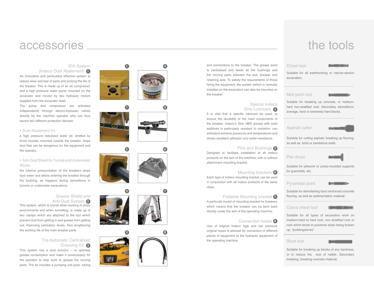### accessories

#### IDA System

(Indeco Dust Abatement) **1**

An innovative and particularly effective system to reduce wear and tear of parts and prolong the life of the breaker. This is made up of an air compressor and a high pressure water pump mounted on the excavator and moved by two hydraulic motors supplied from the excavator itself.

The pump and compressor are activated independently through electro-hydraulic valves directly by the machine operator who can thus launch two different protection devices:

#### Dust Abatement Kit

a high pressure nebulised water jet, emitted by three nozzles mounted outside the breaker, stops dust that can be dangerous for the equipment and the operator.

#### Anti-Dust Shield for Tunnel and Underwater **Works**

the internal pressurisation of the breakers stops dust water and debris entering the breaker through the bushing, as happens during demolitions in tunnels or underwater excavations.

### Grease Shield and

Anti-Dust System **2** This system, which is crucial when working in dusty environments and when tunnelling, is made up of two clamps which are attached to the tool which prevent dust from getting in and grease from getting out, improving lubrication levels, thus lengthening the working life of the main breaker parts.

### The Automatic Centralised Greasing Kit **3**

This system has a dual function  $-$  to optimise grease consumption and make it unnecessary for the operator to stop work to grease the moving parts. The kit includes a pumping unit pack, tubing

![](_page_7_Picture_14.jpeg)

![](_page_7_Picture_15.jpeg)

![](_page_7_Figure_16.jpeg)

![](_page_7_Picture_17.jpeg)

![](_page_7_Picture_18.jpeg)

and connections to the breaker. The grease point is centralised and feeds all the bushings and the moving parts between the tool, breaker and retaining axle. To satisfy the requirements of those hiring the equipment, the system (which is normally installed on the excavator) can also be mounted on the breaker.

### Special Indeco Sirio Lubricant **4**

It is vital that a specific lubricant be used, to ensure the durability of the main components of the breaker. Indeco's Sirio HBS grease with solid additives is particularly resistant to oxidation, can withstand extreme pressures and temperatures and shows excellent adhesion and water-resistance.

#### Pins and Bushings **5**

Designed to facilitate installation of all Indeco products on the arm of the machine, with or without attachment mounting bracket.

Mounting brackets **6**

Each type of Indeco mounting bracket can be used in conjunction with all Indeco products of the same class.

### Foldable Mounting bracket **7**

A particular model of mounting bracket for breakers which means that the breaker can be bent back directly under the arm of the operating machine.

#### Connection hoses **8**

Use of original Indeco high and low pressure original hoses is advised for connection of different pieces of equipment to the hydraulic equipment of the operating machine.

## the tools

#### Chisel tool

![](_page_7_Picture_32.jpeg)

Suitable for all earthworking or narrow-section excavation.

#### Moil point tool

![](_page_7_Picture_35.jpeg)

Suitable for breaking up concrete, or mediumhard non-stratified rock. Secondary demolitions: average, hard or extremely hard blocks.

Asphalt cutter

![](_page_7_Picture_38.jpeg)

Suitable for cutting asphalt, breaking up flooring, as well as brick or sandstone walls.

![](_page_7_Picture_40.jpeg)

![](_page_7_Picture_41.jpeg)

Suitable for pilework or press-moulded supports for guardrails, etc.

#### Pyramidal point

![](_page_7_Picture_44.jpeg)

Suitable for demolishing hard reinforced concrete flooring, as well as sedimentation material.

#### Cobra chisel tool

![](_page_7_Picture_47.jpeg)

Suitable for all types of excavation work on medium-hard to hard rock, non stratified rock or rock which tends to pulverise when being broken up, "puddingstones".

#### Blunt tool

![](_page_7_Picture_50.jpeg)

Suitable for breaking up blocks of any hardness, or to reduce the size of rubble. Secondary breaking, breaking oversize material.

**5078**<br>88<br>8

![](_page_7_Picture_58.jpeg)

![](_page_7_Picture_61.jpeg)

![](_page_7_Picture_63.jpeg)

![](_page_7_Picture_64.jpeg)

![](_page_7_Picture_65.jpeg)